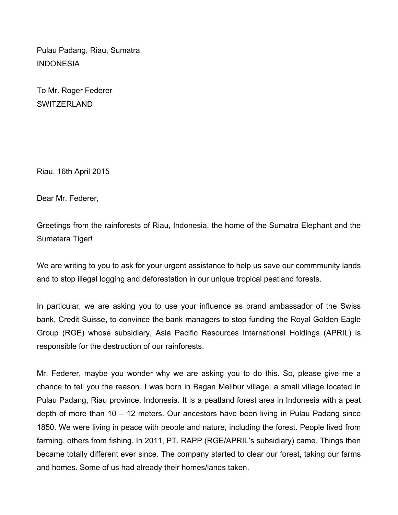Pulau Padang, Riau, Sumatra INDONESIA

To Mr. Roger Federer **SWITZERLAND** 

Riau, 16th April 2015

Dear Mr. Federer,

Greetings from the rainforests of Riau, Indonesia, the home of the Sumatra Elephant and the Sumatera Tiger!

We are writing to you to ask for your urgent assistance to help us save our commmunity lands and to stop illegal logging and deforestation in our unique tropical peatland forests.

In particular, we are asking you to use your influence as brand ambassador of the Swiss bank, Credit Suisse, to convince the bank managers to stop funding the Royal Golden Eagle Group (RGE) whose subsidiary, Asia Pacific Resources International Holdings (APRIL) is responsible for the destruction of our rainforests.

Mr. Federer, maybe you wonder why we are asking you to do this. So, please give me a chance to tell you the reason. I was born in Bagan Melibur village, a small village located in Pulau Padang, Riau province, Indonesia. It is a peatland forest area in Indonesia with a peat depth of more than 10 – 12 meters. Our ancestors have been living in Pulau Padang since 1850. We were living in peace with people and nature, including the forest. People lived from farming, others from fishing. In 2011, PT. RAPP (RGE/APRIL's subsidiary) came. Things then became totally different ever since. The company started to clear our forest, taking our farms and homes. Some of us had already their homes/lands taken.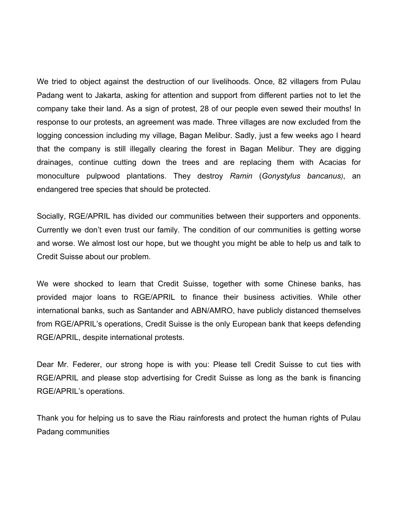We tried to object against the destruction of our livelihoods. Once, 82 villagers from Pulau Padang went to Jakarta, asking for attention and support from different parties not to let the company take their land. As a sign of protest, 28 of our people even sewed their mouths! In response to our protests, an agreement was made. Three villages are now excluded from the logging concession including my village, Bagan Melibur. Sadly, just a few weeks ago I heard that the company is still illegally clearing the forest in Bagan Melibur. They are digging drainages, continue cutting down the trees and are replacing them with Acacias for monoculture pulpwood plantations. They destroy *Ramin* (*Gonystylus bancanus)*, an endangered tree species that should be protected.

Socially, RGE/APRIL has divided our communities between their supporters and opponents. Currently we don't even trust our family. The condition of our communities is getting worse and worse. We almost lost our hope, but we thought you might be able to help us and talk to Credit Suisse about our problem.

We were shocked to learn that Credit Suisse, together with some Chinese banks, has provided major loans to RGE/APRIL to finance their business activities. While other international banks, such as Santander and ABN/AMRO, have publicly distanced themselves from RGE/APRIL's operations, Credit Suisse is the only European bank that keeps defending RGE/APRIL, despite international protests.

Dear Mr. Federer, our strong hope is with you: Please tell Credit Suisse to cut ties with RGE/APRIL and please stop advertising for Credit Suisse as long as the bank is financing RGE/APRIL's operations.

Thank you for helping us to save the Riau rainforests and protect the human rights of Pulau Padang communities